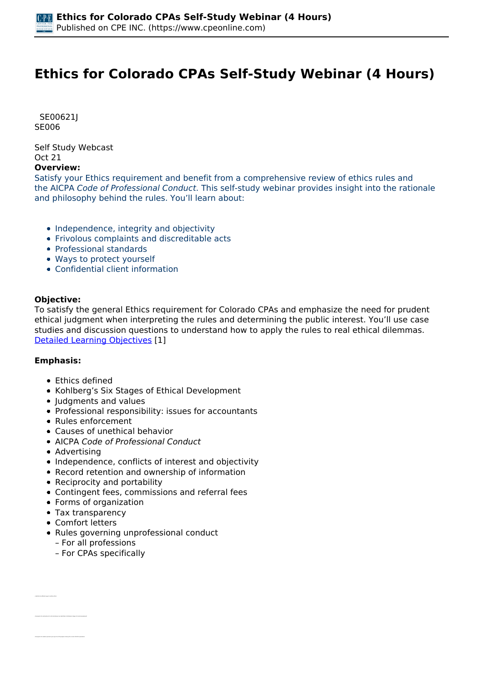# **Ethics for Colorado CPAs Self-Study Webinar (4 Hours)**

 *SE00621J SE006* 

*Self Study Webcast Oct 21* 

### **Overview:**

*Satisfy your Ethics requirement and benefit from a comprehensive review of ethics rules and the AICPA Code of Professional Conduct. This self-study webinar provides insight into the rationale and philosophy behind the rules. You'll learn about:*

- *Independence, integrity and objectivity*
- *Frivolous complaints and discreditable acts*
- *Professional standards*
- *Ways to protect yourself*
- *Confidential client information*

### **Objective:**

*To satisfy the general Ethics requirement for Colorado CPAs and emphasize the need for prudent ethical judgment when interpreting the rules and determining the public interest. You'll use case studies and discussion questions to understand how to apply the rules to real ethical dilemmas. [Detailed Learning Objectives](https://www.cpeonline.com/JavaScript:showObjectivesPopup();) [1]*

### **Emphasis:**

- *Ethics defined*
- *Kohlberg's Six Stages of Ethical Development*
- *Judgments and values*
- *Professional responsibility: issues for accountants*
- *Rules enforcement*
- *Causes of unethical behavior*
- *AICPA Code of Professional Conduct*
- *Advertising*
- *Independence, conflicts of interest and objectivity*
- *Record retention and ownership of information*
- *Reciprocity and portability*
- *Contingent fees, commissions and referral fees*
- *Forms of organization*
- *Tax transparency*
- *Comfort letters*

*• Identify the different ways to define ethics*

- *Rules governing unprofessional conduct*
	- *For all professions*
	- *For CPAs specifically*